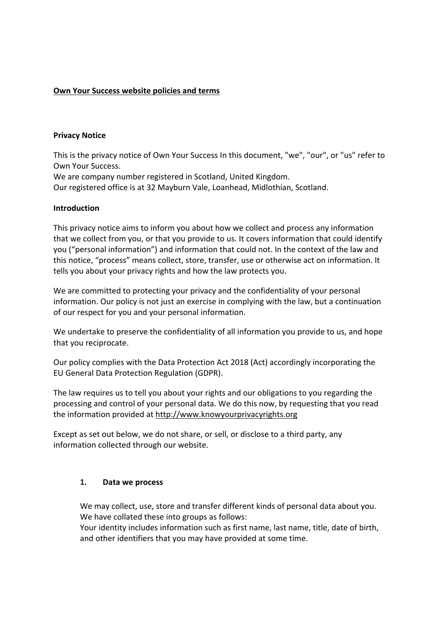## **Own Your Success website policies and terms**

## **Privacy Notice**

This is the privacy notice of Own Your Success In this document, "we", "our", or "us" refer to Own Your Success.

We are company number registered in Scotland, United Kingdom.

Our registered office is at 32 Mayburn Vale, Loanhead, Midlothian, Scotland.

## **Introduction**

This privacy notice aims to inform you about how we collect and process any information that we collect from you, or that you provide to us. It covers information that could identify you ("personal information") and information that could not. In the context of the law and this notice, "process" means collect, store, transfer, use or otherwise act on information. It tells you about your privacy rights and how the law protects you.

We are committed to protecting your privacy and the confidentiality of your personal information. Our policy is not just an exercise in complying with the law, but a continuation of our respect for you and your personal information.

We undertake to preserve the confidentiality of all information you provide to us, and hope that you reciprocate.

Our policy complies with the Data Protection Act 2018 (Act) accordingly incorporating the EU General Data Protection Regulation (GDPR).

The law requires us to tell you about your rights and our obligations to you regarding the processing and control of your personal data. We do this now, by requesting that you read the information provided at http://www.knowyourprivacyrights.org

Except as set out below, we do not share, or sell, or disclose to a third party, any information collected through our website.

## **1. Data we process**

We may collect, use, store and transfer different kinds of personal data about you. We have collated these into groups as follows:

Your identity includes information such as first name, last name, title, date of birth, and other identifiers that you may have provided at some time.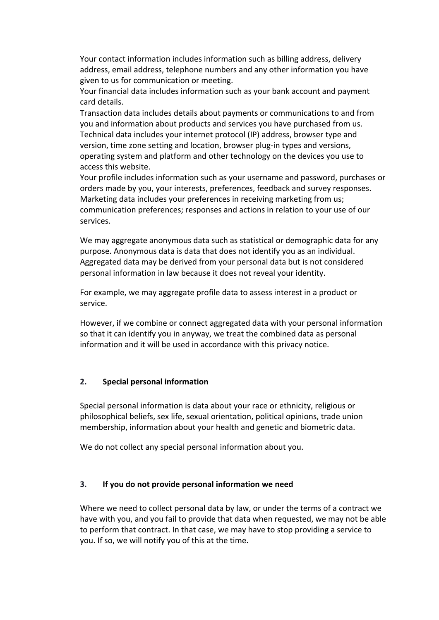Your contact information includes information such as billing address, delivery address, email address, telephone numbers and any other information you have given to us for communication or meeting.

Your financial data includes information such as your bank account and payment card details.

Transaction data includes details about payments or communications to and from you and information about products and services you have purchased from us. Technical data includes your internet protocol (IP) address, browser type and version, time zone setting and location, browser plug-in types and versions, operating system and platform and other technology on the devices you use to access this website.

Your profile includes information such as your username and password, purchases or orders made by you, your interests, preferences, feedback and survey responses. Marketing data includes your preferences in receiving marketing from us; communication preferences; responses and actions in relation to your use of our services.

We may aggregate anonymous data such as statistical or demographic data for any purpose. Anonymous data is data that does not identify you as an individual. Aggregated data may be derived from your personal data but is not considered personal information in law because it does not reveal your identity.

For example, we may aggregate profile data to assess interest in a product or service.

However, if we combine or connect aggregated data with your personal information so that it can identify you in anyway, we treat the combined data as personal information and it will be used in accordance with this privacy notice.

## **2. Special personal information**

Special personal information is data about your race or ethnicity, religious or philosophical beliefs, sex life, sexual orientation, political opinions, trade union membership, information about your health and genetic and biometric data.

We do not collect any special personal information about you.

#### **3. If you do not provide personal information we need**

Where we need to collect personal data by law, or under the terms of a contract we have with you, and you fail to provide that data when requested, we may not be able to perform that contract. In that case, we may have to stop providing a service to you. If so, we will notify you of this at the time.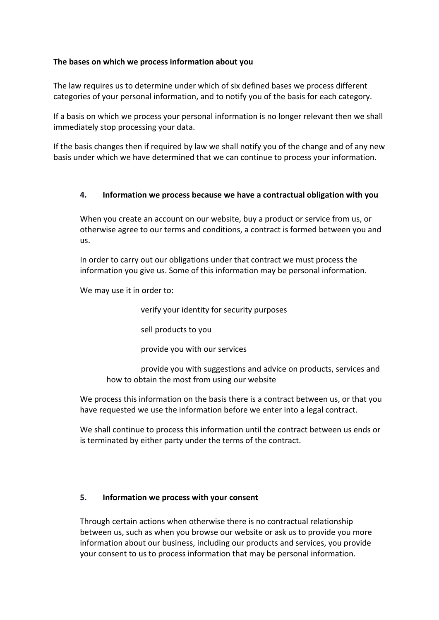## **The bases on which we process information about you**

The law requires us to determine under which of six defined bases we process different categories of your personal information, and to notify you of the basis for each category.

If a basis on which we process your personal information is no longer relevant then we shall immediately stop processing your data.

If the basis changes then if required by law we shall notify you of the change and of any new basis under which we have determined that we can continue to process your information.

## **4. Information we process because we have a contractual obligation with you**

When you create an account on our website, buy a product or service from us, or otherwise agree to our terms and conditions, a contract is formed between you and us.

In order to carry out our obligations under that contract we must process the information you give us. Some of this information may be personal information.

We may use it in order to:

verify your identity for security purposes

sell products to you

provide you with our services

 provide you with suggestions and advice on products, services and how to obtain the most from using our website

We process this information on the basis there is a contract between us, or that you have requested we use the information before we enter into a legal contract.

We shall continue to process this information until the contract between us ends or is terminated by either party under the terms of the contract.

# **5. Information we process with your consent**

Through certain actions when otherwise there is no contractual relationship between us, such as when you browse our website or ask us to provide you more information about our business, including our products and services, you provide your consent to us to process information that may be personal information.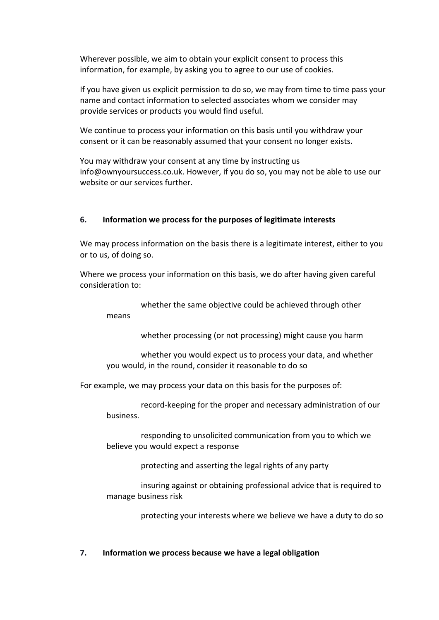Wherever possible, we aim to obtain your explicit consent to process this information, for example, by asking you to agree to our use of cookies.

If you have given us explicit permission to do so, we may from time to time pass your name and contact information to selected associates whom we consider may provide services or products you would find useful.

We continue to process your information on this basis until you withdraw your consent or it can be reasonably assumed that your consent no longer exists.

You may withdraw your consent at any time by instructing us info@ownyoursuccess.co.uk. However, if you do so, you may not be able to use our website or our services further.

## **6. Information we process for the purposes of legitimate interests**

We may process information on the basis there is a legitimate interest, either to you or to us, of doing so.

Where we process your information on this basis, we do after having given careful consideration to:

whether the same objective could be achieved through other

whether processing (or not processing) might cause you harm

 whether you would expect us to process your data, and whether you would, in the round, consider it reasonable to do so

For example, we may process your data on this basis for the purposes of:

means

 record-keeping for the proper and necessary administration of our business.

 responding to unsolicited communication from you to which we believe you would expect a response

protecting and asserting the legal rights of any party

 insuring against or obtaining professional advice that is required to manage business risk

protecting your interests where we believe we have a duty to do so

## **7. Information we process because we have a legal obligation**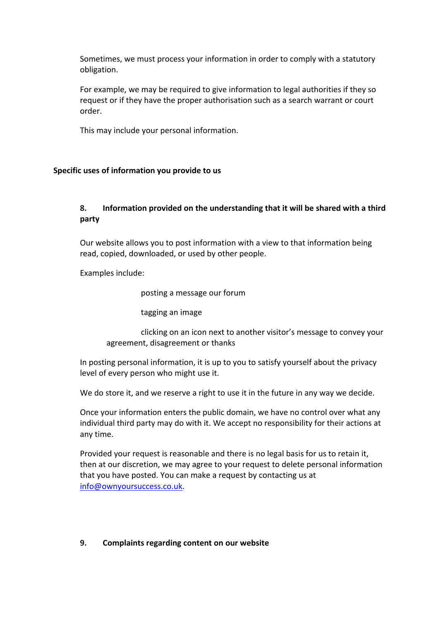Sometimes, we must process your information in order to comply with a statutory obligation.

For example, we may be required to give information to legal authorities if they so request or if they have the proper authorisation such as a search warrant or court order.

This may include your personal information.

## **Specific uses of information you provide to us**

# **8. Information provided on the understanding that it will be shared with a third party**

Our website allows you to post information with a view to that information being read, copied, downloaded, or used by other people.

Examples include:

posting a message our forum

tagging an image

 clicking on an icon next to another visitor's message to convey your agreement, disagreement or thanks

In posting personal information, it is up to you to satisfy yourself about the privacy level of every person who might use it.

We do store it, and we reserve a right to use it in the future in any way we decide.

Once your information enters the public domain, we have no control over what any individual third party may do with it. We accept no responsibility for their actions at any time.

Provided your request is reasonable and there is no legal basis for us to retain it, then at our discretion, we may agree to your request to delete personal information that you have posted. You can make a request by contacting us at info@ownyoursuccess.co.uk.

## **9. Complaints regarding content on our website**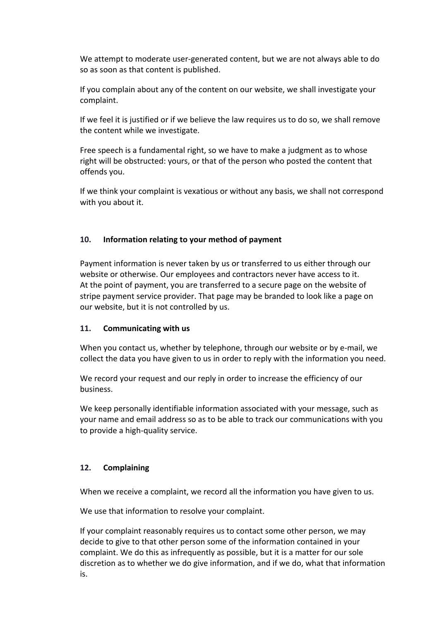We attempt to moderate user-generated content, but we are not always able to do so as soon as that content is published.

If you complain about any of the content on our website, we shall investigate your complaint.

If we feel it is justified or if we believe the law requires us to do so, we shall remove the content while we investigate.

Free speech is a fundamental right, so we have to make a judgment as to whose right will be obstructed: yours, or that of the person who posted the content that offends you.

If we think your complaint is vexatious or without any basis, we shall not correspond with you about it.

## **10. Information relating to your method of payment**

Payment information is never taken by us or transferred to us either through our website or otherwise. Our employees and contractors never have access to it. At the point of payment, you are transferred to a secure page on the website of stripe payment service provider. That page may be branded to look like a page on our website, but it is not controlled by us.

## **11. Communicating with us**

When you contact us, whether by telephone, through our website or by e-mail, we collect the data you have given to us in order to reply with the information you need.

We record your request and our reply in order to increase the efficiency of our business.

We keep personally identifiable information associated with your message, such as your name and email address so as to be able to track our communications with you to provide a high-quality service.

# **12. Complaining**

When we receive a complaint, we record all the information you have given to us.

We use that information to resolve your complaint.

If your complaint reasonably requires us to contact some other person, we may decide to give to that other person some of the information contained in your complaint. We do this as infrequently as possible, but it is a matter for our sole discretion as to whether we do give information, and if we do, what that information is.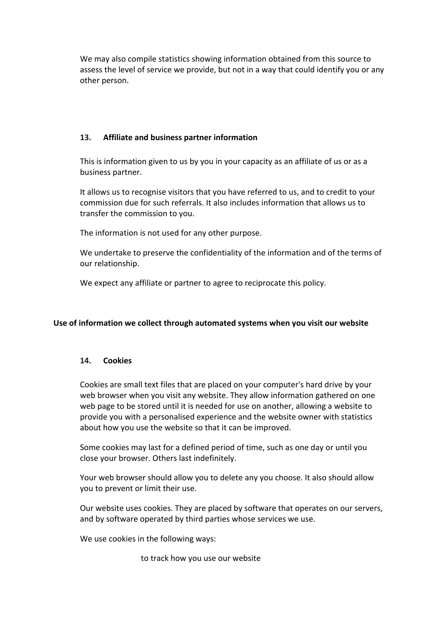We may also compile statistics showing information obtained from this source to assess the level of service we provide, but not in a way that could identify you or any other person.

# **13. Affiliate and business partner information**

This is information given to us by you in your capacity as an affiliate of us or as a business partner.

It allows us to recognise visitors that you have referred to us, and to credit to your commission due for such referrals. It also includes information that allows us to transfer the commission to you.

The information is not used for any other purpose.

We undertake to preserve the confidentiality of the information and of the terms of our relationship.

We expect any affiliate or partner to agree to reciprocate this policy.

## **Use of information we collect through automated systems when you visit our website**

## **14. Cookies**

Cookies are small text files that are placed on your computer's hard drive by your web browser when you visit any website. They allow information gathered on one web page to be stored until it is needed for use on another, allowing a website to provide you with a personalised experience and the website owner with statistics about how you use the website so that it can be improved.

Some cookies may last for a defined period of time, such as one day or until you close your browser. Others last indefinitely.

Your web browser should allow you to delete any you choose. It also should allow you to prevent or limit their use.

Our website uses cookies. They are placed by software that operates on our servers, and by software operated by third parties whose services we use.

We use cookies in the following ways:

to track how you use our website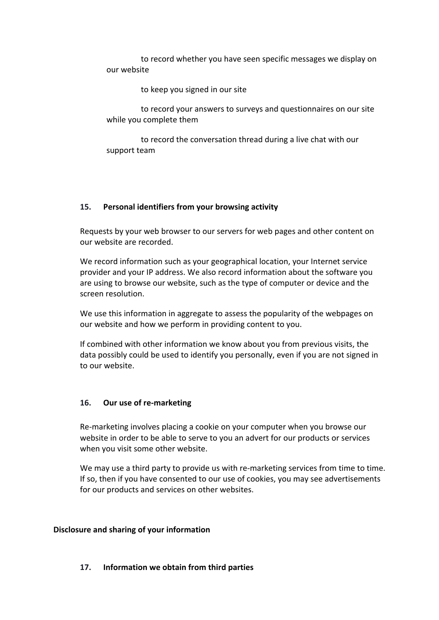to record whether you have seen specific messages we display on our website

to keep you signed in our site

 to record your answers to surveys and questionnaires on our site while you complete them

 to record the conversation thread during a live chat with our support team

## **15. Personal identifiers from your browsing activity**

Requests by your web browser to our servers for web pages and other content on our website are recorded.

We record information such as your geographical location, your Internet service provider and your IP address. We also record information about the software you are using to browse our website, such as the type of computer or device and the screen resolution.

We use this information in aggregate to assess the popularity of the webpages on our website and how we perform in providing content to you.

If combined with other information we know about you from previous visits, the data possibly could be used to identify you personally, even if you are not signed in to our website.

## **16. Our use of re-marketing**

Re-marketing involves placing a cookie on your computer when you browse our website in order to be able to serve to you an advert for our products or services when you visit some other website.

We may use a third party to provide us with re-marketing services from time to time. If so, then if you have consented to our use of cookies, you may see advertisements for our products and services on other websites.

## **Disclosure and sharing of your information**

## **17. Information we obtain from third parties**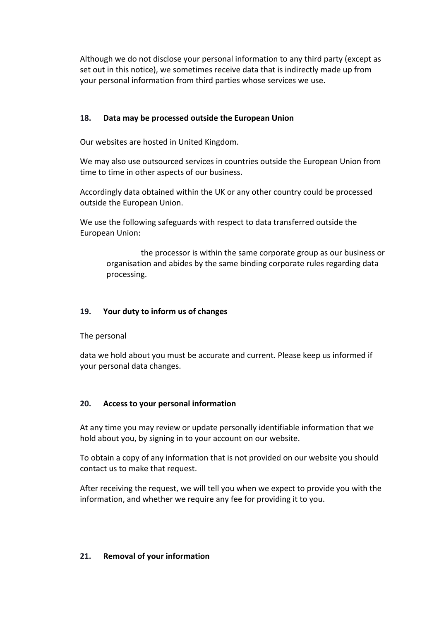Although we do not disclose your personal information to any third party (except as set out in this notice), we sometimes receive data that is indirectly made up from your personal information from third parties whose services we use.

# **18. Data may be processed outside the European Union**

Our websites are hosted in United Kingdom.

We may also use outsourced services in countries outside the European Union from time to time in other aspects of our business.

Accordingly data obtained within the UK or any other country could be processed outside the European Union.

We use the following safeguards with respect to data transferred outside the European Union:

 the processor is within the same corporate group as our business or organisation and abides by the same binding corporate rules regarding data processing.

# **19. Your duty to inform us of changes**

The personal

data we hold about you must be accurate and current. Please keep us informed if your personal data changes.

## **20. Access to your personal information**

At any time you may review or update personally identifiable information that we hold about you, by signing in to your account on our website.

To obtain a copy of any information that is not provided on our website you should contact us to make that request.

After receiving the request, we will tell you when we expect to provide you with the information, and whether we require any fee for providing it to you.

## **21. Removal of your information**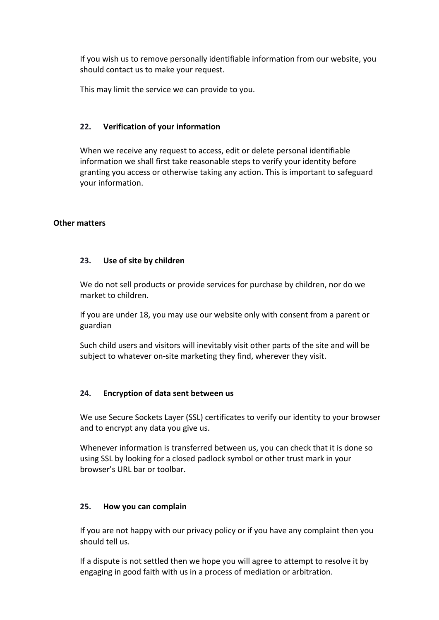If you wish us to remove personally identifiable information from our website, you should contact us to make your request.

This may limit the service we can provide to you.

# **22. Verification of your information**

When we receive any request to access, edit or delete personal identifiable information we shall first take reasonable steps to verify your identity before granting you access or otherwise taking any action. This is important to safeguard your information.

## **Other matters**

## **23. Use of site by children**

We do not sell products or provide services for purchase by children, nor do we market to children.

If you are under 18, you may use our website only with consent from a parent or guardian

Such child users and visitors will inevitably visit other parts of the site and will be subject to whatever on-site marketing they find, wherever they visit.

## **24. Encryption of data sent between us**

We use Secure Sockets Layer (SSL) certificates to verify our identity to your browser and to encrypt any data you give us.

Whenever information is transferred between us, you can check that it is done so using SSL by looking for a closed padlock symbol or other trust mark in your browser's URL bar or toolbar.

## **25. How you can complain**

If you are not happy with our privacy policy or if you have any complaint then you should tell us.

If a dispute is not settled then we hope you will agree to attempt to resolve it by engaging in good faith with us in a process of mediation or arbitration.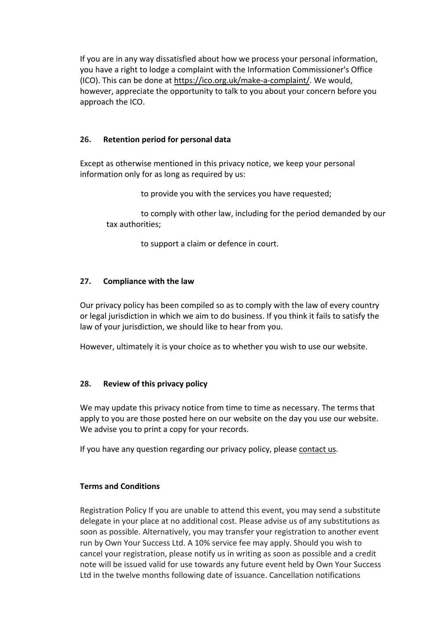If you are in any way dissatisfied about how we process your personal information, you have a right to lodge a complaint with the Information Commissioner's Office (ICO). This can be done at https://ico.org.uk/make-a-complaint/. We would, however, appreciate the opportunity to talk to you about your concern before you approach the ICO.

# **26. Retention period for personal data**

Except as otherwise mentioned in this privacy notice, we keep your personal information only for as long as required by us:

to provide you with the services you have requested;

 to comply with other law, including for the period demanded by our tax authorities;

to support a claim or defence in court.

# **27. Compliance with the law**

Our privacy policy has been compiled so as to comply with the law of every country or legal jurisdiction in which we aim to do business. If you think it fails to satisfy the law of your jurisdiction, we should like to hear from you.

However, ultimately it is your choice as to whether you wish to use our website.

# **28. Review of this privacy policy**

We may update this privacy notice from time to time as necessary. The terms that apply to you are those posted here on our website on the day you use our website. We advise you to print a copy for your records.

If you have any question regarding our privacy policy, please contact us.

## **Terms and Conditions**

Registration Policy If you are unable to attend this event, you may send a substitute delegate in your place at no additional cost. Please advise us of any substitutions as soon as possible. Alternatively, you may transfer your registration to another event run by Own Your Success Ltd. A 10% service fee may apply. Should you wish to cancel your registration, please notify us in writing as soon as possible and a credit note will be issued valid for use towards any future event held by Own Your Success Ltd in the twelve months following date of issuance. Cancellation notifications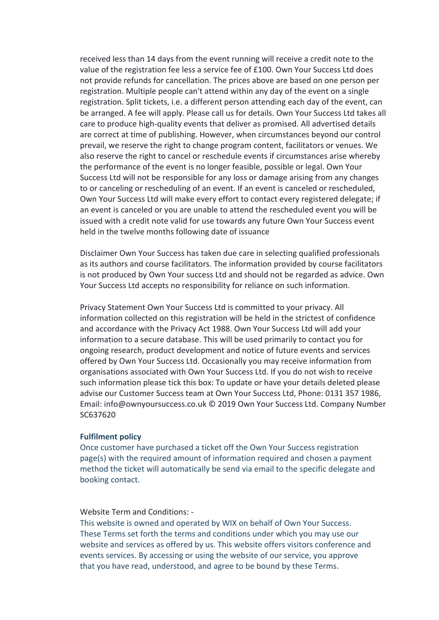received less than 14 days from the event running will receive a credit note to the value of the registration fee less a service fee of £100. Own Your Success Ltd does not provide refunds for cancellation. The prices above are based on one person per registration. Multiple people can't attend within any day of the event on a single registration. Split tickets, i.e. a different person attending each day of the event, can be arranged. A fee will apply. Please call us for details. Own Your Success Ltd takes all care to produce high-quality events that deliver as promised. All advertised details are correct at time of publishing. However, when circumstances beyond our control prevail, we reserve the right to change program content, facilitators or venues. We also reserve the right to cancel or reschedule events if circumstances arise whereby the performance of the event is no longer feasible, possible or legal. Own Your Success Ltd will not be responsible for any loss or damage arising from any changes to or canceling or rescheduling of an event. If an event is canceled or rescheduled, Own Your Success Ltd will make every effort to contact every registered delegate; if an event is canceled or you are unable to attend the rescheduled event you will be issued with a credit note valid for use towards any future Own Your Success event held in the twelve months following date of issuance

Disclaimer Own Your Success has taken due care in selecting qualified professionals as its authors and course facilitators. The information provided by course facilitators is not produced by Own Your success Ltd and should not be regarded as advice. Own Your Success Ltd accepts no responsibility for reliance on such information.

Privacy Statement Own Your Success Ltd is committed to your privacy. All information collected on this registration will be held in the strictest of confidence and accordance with the Privacy Act 1988. Own Your Success Ltd will add your information to a secure database. This will be used primarily to contact you for ongoing research, product development and notice of future events and services offered by Own Your Success Ltd. Occasionally you may receive information from organisations associated with Own Your Success Ltd. If you do not wish to receive such information please tick this box: To update or have your details deleted please advise our Customer Success team at Own Your Success Ltd, Phone: 0131 357 1986, Email: info@ownyoursuccess.co.uk © 2019 Own Your Success Ltd. Company Number SC637620

#### **Fulfilment policy**

Once customer have purchased a ticket off the Own Your Success registration page(s) with the required amount of information required and chosen a payment method the ticket will automatically be send via email to the specific delegate and booking contact.

#### Website Term and Conditions: -

This website is owned and operated by WIX on behalf of Own Your Success. These Terms set forth the terms and conditions under which you may use our website and services as offered by us. This website offers visitors conference and events services. By accessing or using the website of our service, you approve that you have read, understood, and agree to be bound by these Terms.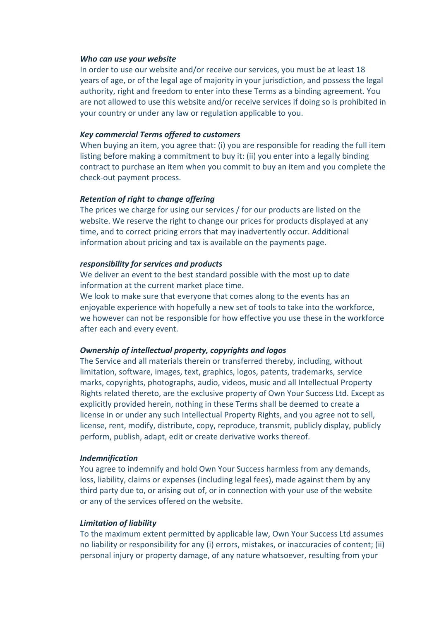#### *Who can use your website*

In order to use our website and/or receive our services, you must be at least 18 years of age, or of the legal age of majority in your jurisdiction, and possess the legal authority, right and freedom to enter into these Terms as a binding agreement. You are not allowed to use this website and/or receive services if doing so is prohibited in your country or under any law or regulation applicable to you.

#### *Key commercial Terms offered to customers*

When buying an item, you agree that: (i) you are responsible for reading the full item listing before making a commitment to buy it: (ii) you enter into a legally binding contract to purchase an item when you commit to buy an item and you complete the check-out payment process.

#### *Retention of right to change offering*

The prices we charge for using our services / for our products are listed on the website. We reserve the right to change our prices for products displayed at any time, and to correct pricing errors that may inadvertently occur. Additional information about pricing and tax is available on the payments page.

#### *responsibility for services and products*

We deliver an event to the best standard possible with the most up to date information at the current market place time.

We look to make sure that everyone that comes along to the events has an enjoyable experience with hopefully a new set of tools to take into the workforce, we however can not be responsible for how effective you use these in the workforce after each and every event.

#### *Ownership of intellectual property, copyrights and logos*

The Service and all materials therein or transferred thereby, including, without limitation, software, images, text, graphics, logos, patents, trademarks, service marks, copyrights, photographs, audio, videos, music and all Intellectual Property Rights related thereto, are the exclusive property of Own Your Success Ltd. Except as explicitly provided herein, nothing in these Terms shall be deemed to create a license in or under any such Intellectual Property Rights, and you agree not to sell, license, rent, modify, distribute, copy, reproduce, transmit, publicly display, publicly perform, publish, adapt, edit or create derivative works thereof.

#### *Indemnification*

You agree to indemnify and hold Own Your Success harmless from any demands, loss, liability, claims or expenses (including legal fees), made against them by any third party due to, or arising out of, or in connection with your use of the website or any of the services offered on the website.

#### *Limitation of liability*

To the maximum extent permitted by applicable law, Own Your Success Ltd assumes no liability or responsibility for any (i) errors, mistakes, or inaccuracies of content; (ii) personal injury or property damage, of any nature whatsoever, resulting from your